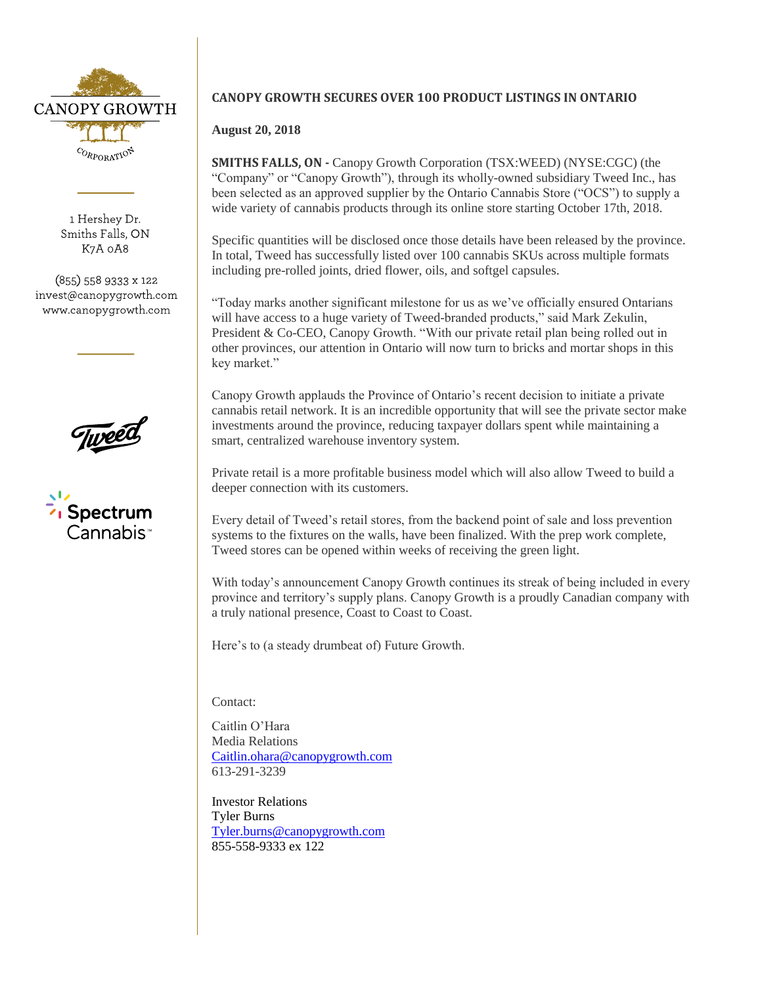

1 Hershey Dr. Smiths Falls, ON K7A 0A8

 $(855)$  558 9333 x 122 invest@canopygrowth.com www.canopygrowth.com





## **CANOPY GROWTH SECURES OVER 100 PRODUCT LISTINGS IN ONTARIO**

## **August 20, 2018**

**SMITHS FALLS, ON -** Canopy Growth Corporation (TSX:WEED) (NYSE:CGC) (the "Company" or "Canopy Growth"), through its wholly-owned subsidiary Tweed Inc., has been selected as an approved supplier by the Ontario Cannabis Store ("OCS") to supply a wide variety of cannabis products through its online store starting October 17th, 2018.

Specific quantities will be disclosed once those details have been released by the province. In total, Tweed has successfully listed over 100 cannabis SKUs across multiple formats including pre-rolled joints, dried flower, oils, and softgel capsules.

"Today marks another significant milestone for us as we've officially ensured Ontarians will have access to a huge variety of Tweed-branded products," said Mark Zekulin, President & Co-CEO, Canopy Growth. "With our private retail plan being rolled out in other provinces, our attention in Ontario will now turn to bricks and mortar shops in this key market."

Canopy Growth applauds the Province of Ontario's recent decision to initiate a private cannabis retail network. It is an incredible opportunity that will see the private sector make investments around the province, reducing taxpayer dollars spent while maintaining a smart, centralized warehouse inventory system.

Private retail is a more profitable business model which will also allow Tweed to build a deeper connection with its customers.

Every detail of Tweed's retail stores, from the backend point of sale and loss prevention systems to the fixtures on the walls, have been finalized. With the prep work complete, Tweed stores can be opened within weeks of receiving the green light.

With today's announcement Canopy Growth continues its streak of being included in every province and territory's supply plans. Canopy Growth is a proudly Canadian company with a truly national presence, Coast to Coast to Coast.

Here's to (a steady drumbeat of) Future Growth.

Contact:

Caitlin O'Hara Media Relations [Caitlin.ohara@canopygrowth.com](mailto:Caitlin.ohara@canopygrowth.com) 613-291-3239

Investor Relations Tyler Burns [Tyler.burns@canopygrowth.com](mailto:Tyler.burns@canopygrowth.com) 855-558-9333 ex 122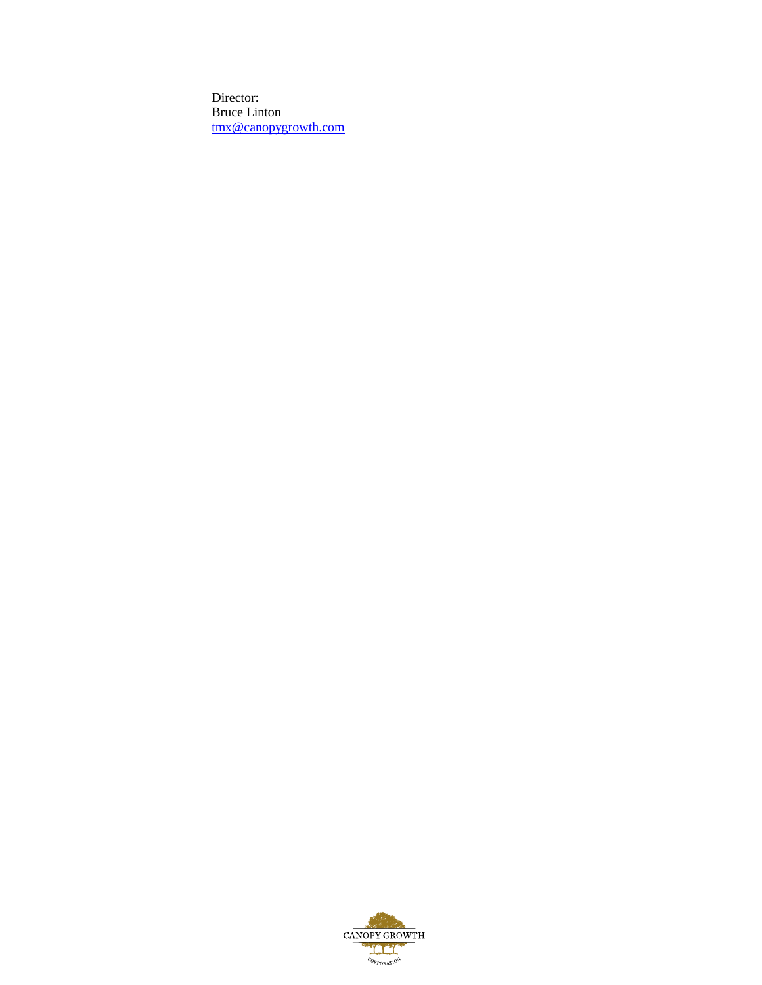Director: Bruce Linton [tmx@canopygrowth.com](mailto:tmx@tweed.com)